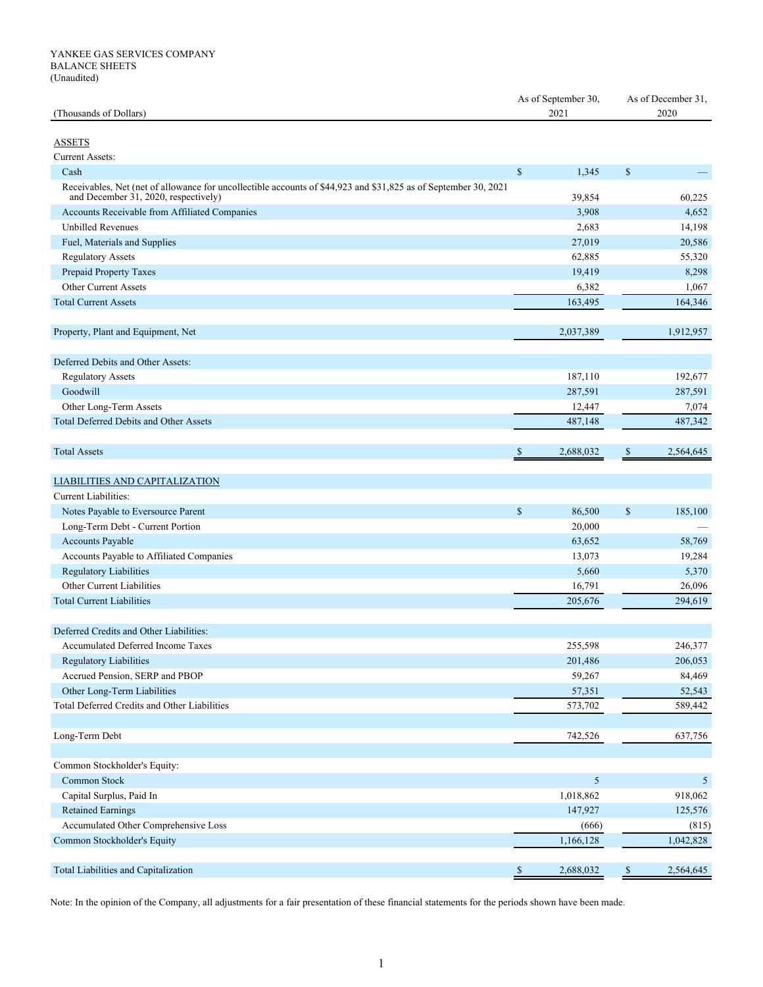| (Thousands of Dollars)                                                                                                                                  |              | As of September 30,<br>2021 |              | As of December 31,<br>2020 |  |
|---------------------------------------------------------------------------------------------------------------------------------------------------------|--------------|-----------------------------|--------------|----------------------------|--|
| <b>ASSETS</b>                                                                                                                                           |              |                             |              |                            |  |
| <b>Current Assets:</b>                                                                                                                                  |              |                             |              |                            |  |
| Cash                                                                                                                                                    | $\mathbb{S}$ | 1,345                       | $\mathbb{S}$ |                            |  |
| Receivables, Net (net of allowance for uncollectible accounts of \$44,923 and \$31,825 as of September 30, 2021<br>and December 31, 2020, respectively) |              | 39,854                      |              | 60,225                     |  |
| Accounts Receivable from Affiliated Companies                                                                                                           |              | 3,908                       |              | 4,652                      |  |
| <b>Unbilled Revenues</b>                                                                                                                                |              | 2,683                       |              | 14,198                     |  |
| Fuel, Materials and Supplies                                                                                                                            |              | 27,019                      |              | 20,586                     |  |
| <b>Regulatory Assets</b>                                                                                                                                |              | 62,885                      |              | 55,320                     |  |
| Prepaid Property Taxes                                                                                                                                  |              | 19,419                      |              | 8,298                      |  |
| <b>Other Current Assets</b>                                                                                                                             |              | 6,382                       |              | 1,067                      |  |
| <b>Total Current Assets</b>                                                                                                                             |              | 163,495                     |              | 164,346                    |  |
|                                                                                                                                                         |              |                             |              |                            |  |
| Property, Plant and Equipment, Net                                                                                                                      |              | 2,037,389                   |              | 1,912,957                  |  |
|                                                                                                                                                         |              |                             |              |                            |  |
| Deferred Debits and Other Assets:                                                                                                                       |              |                             |              |                            |  |
| <b>Regulatory Assets</b>                                                                                                                                |              | 187,110                     |              | 192,677                    |  |
| Goodwill                                                                                                                                                |              | 287,591                     |              | 287,591                    |  |
| Other Long-Term Assets                                                                                                                                  |              | 12,447                      |              | 7,074                      |  |
| Total Deferred Debits and Other Assets                                                                                                                  |              | 487,148                     |              | 487,342                    |  |
|                                                                                                                                                         |              |                             |              |                            |  |
| <b>Total Assets</b>                                                                                                                                     | \$           | 2,688,032                   | \$           | 2,564,645                  |  |
| LIABILITIES AND CAPITALIZATION                                                                                                                          |              |                             |              |                            |  |
| Current Liabilities:                                                                                                                                    |              |                             |              |                            |  |
| Notes Payable to Eversource Parent                                                                                                                      | $\mathbb{S}$ | 86,500                      | \$           | 185,100                    |  |
| Long-Term Debt - Current Portion                                                                                                                        |              | 20,000                      |              |                            |  |
| Accounts Payable                                                                                                                                        |              | 63,652                      |              | 58,769                     |  |
| Accounts Payable to Affiliated Companies                                                                                                                |              | 13,073                      |              |                            |  |
| <b>Regulatory Liabilities</b>                                                                                                                           |              | 5,660                       |              | 19,284<br>5,370            |  |
| Other Current Liabilities                                                                                                                               |              |                             |              |                            |  |
| <b>Total Current Liabilities</b>                                                                                                                        |              | 16,791                      |              | 26,096                     |  |
|                                                                                                                                                         |              | 205,676                     |              | 294,619                    |  |
| Deferred Credits and Other Liabilities:                                                                                                                 |              |                             |              |                            |  |
| Accumulated Deferred Income Taxes                                                                                                                       |              | 255,598                     |              | 246,377                    |  |
| Regulatory Liabilities                                                                                                                                  |              |                             |              | 206,053                    |  |
| Accrued Pension, SERP and PBOP                                                                                                                          |              | 201,486                     |              | 84,469                     |  |
|                                                                                                                                                         |              | 59,267                      |              |                            |  |
| Other Long-Term Liabilities                                                                                                                             |              | 57,351                      |              | 52,543                     |  |
| Total Deferred Credits and Other Liabilities                                                                                                            |              | 573,702                     |              | 589,442                    |  |
|                                                                                                                                                         |              | 742,526                     |              | 637,756                    |  |
| Long-Term Debt                                                                                                                                          |              |                             |              |                            |  |
| Common Stockholder's Equity:                                                                                                                            |              |                             |              |                            |  |
| Common Stock                                                                                                                                            |              | 5                           |              | 5                          |  |
| Capital Surplus, Paid In                                                                                                                                |              | 1,018,862                   |              | 918,062                    |  |
| Retained Earnings                                                                                                                                       |              | 147,927                     |              | 125,576                    |  |
| Accumulated Other Comprehensive Loss                                                                                                                    |              | (666)                       |              | (815)                      |  |
| Common Stockholder's Equity                                                                                                                             |              | 1,166,128                   |              | 1,042,828                  |  |
|                                                                                                                                                         |              |                             |              |                            |  |
| Total Liabilities and Capitalization                                                                                                                    | \$           | 2,688,032                   | $\mathbb{S}$ | 2,564,645                  |  |

Note: In the opinion of the Company, all adjustments for a fair presentation of these financial statements for the periods shown have been made.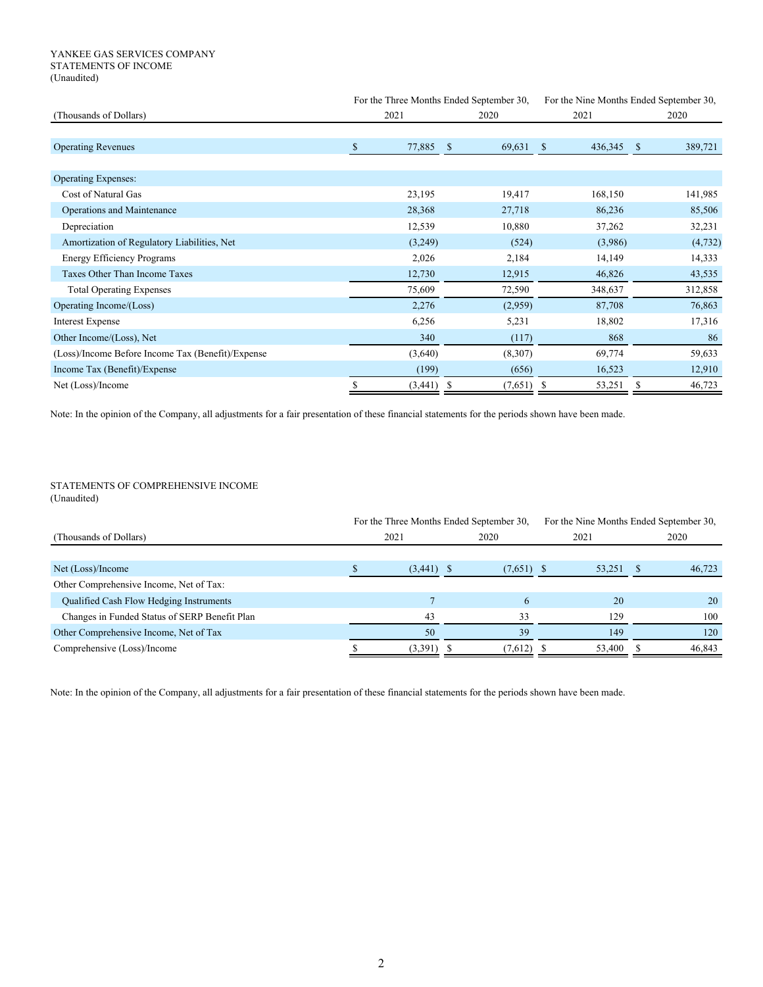## YANKEE GAS SERVICES COMPANY STATEMENTS OF INCOME (Unaudited)

|                                                   |               | For the Three Months Ended September 30, |                         | For the Nine Months Ended September 30, |  |  |
|---------------------------------------------------|---------------|------------------------------------------|-------------------------|-----------------------------------------|--|--|
| (Thousands of Dollars)                            | 2021          |                                          | 2021                    | 2020                                    |  |  |
|                                                   |               |                                          |                         |                                         |  |  |
| <b>Operating Revenues</b>                         | \$<br>77,885  | 69,631<br><sup>\$</sup>                  | 436,345<br><sup>S</sup> | 389,721<br><sup>\$</sup>                |  |  |
|                                                   |               |                                          |                         |                                         |  |  |
| <b>Operating Expenses:</b>                        |               |                                          |                         |                                         |  |  |
| Cost of Natural Gas                               | 23,195        | 19,417                                   | 168,150                 | 141,985                                 |  |  |
| Operations and Maintenance                        | 28,368        | 27,718                                   | 86,236                  | 85,506                                  |  |  |
| Depreciation                                      | 12,539        | 10,880                                   | 37,262                  | 32,231                                  |  |  |
| Amortization of Regulatory Liabilities, Net       | (3,249)       | (524)                                    | (3,986)                 | (4, 732)                                |  |  |
| <b>Energy Efficiency Programs</b>                 | 2,026         | 2,184                                    | 14,149                  | 14,333                                  |  |  |
| Taxes Other Than Income Taxes                     | 12,730        | 12,915                                   | 46,826                  | 43,535                                  |  |  |
| <b>Total Operating Expenses</b>                   | 75,609        | 72,590                                   | 348,637                 | 312,858                                 |  |  |
| Operating Income/(Loss)                           | 2,276         | (2,959)                                  | 87,708                  | 76,863                                  |  |  |
| <b>Interest Expense</b>                           | 6,256         | 5,231                                    | 18,802                  | 17,316                                  |  |  |
| Other Income/(Loss), Net                          | 340           | (117)                                    | 868                     | 86                                      |  |  |
| (Loss)/Income Before Income Tax (Benefit)/Expense | (3,640)       | (8,307)                                  | 69,774                  | 59,633                                  |  |  |
| Income Tax (Benefit)/Expense                      | (199)         | (656)                                    | 16,523                  | 12,910                                  |  |  |
| Net (Loss)/Income                                 | \$<br>(3,441) | $(7,651)$ \$<br>-8                       | 53,251                  | S<br>46,723                             |  |  |

Note: In the opinion of the Company, all adjustments for a fair presentation of these financial statements for the periods shown have been made.

## STATEMENTS OF COMPREHENSIVE INCOME (Unaudited)

|                                               | For the Three Months Ended September 30, |              |        | For the Nine Months Ended September 30, |
|-----------------------------------------------|------------------------------------------|--------------|--------|-----------------------------------------|
| (Thousands of Dollars)                        | 2021                                     | 2020         | 2021   | 2020                                    |
|                                               |                                          |              |        |                                         |
| Net (Loss)/Income                             | $(3,441)$ \$                             | $(7,651)$ \$ | 53,251 | 46,723                                  |
| Other Comprehensive Income, Net of Tax:       |                                          |              |        |                                         |
| Qualified Cash Flow Hedging Instruments       |                                          | h.           | 20     | 20                                      |
| Changes in Funded Status of SERP Benefit Plan | 43                                       | 33           | 129    | 100                                     |
| Other Comprehensive Income, Net of Tax        | 50                                       | 39           | 149    | 120                                     |
| Comprehensive (Loss)/Income                   | (3,391)                                  | (7,612)      | 53,400 | 46,843                                  |

Note: In the opinion of the Company, all adjustments for a fair presentation of these financial statements for the periods shown have been made.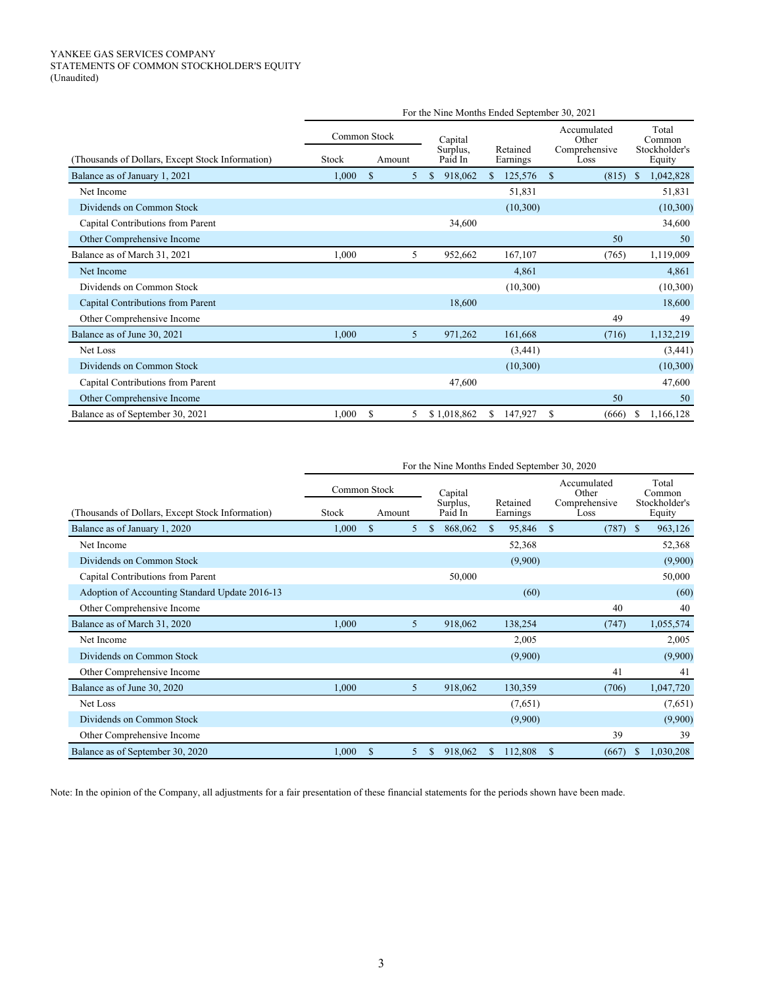## YANKEE GAS SERVICES COMPANY STATEMENTS OF COMMON STOCKHOLDER'S EQUITY (Unaudited)

|                                                 | For the Nine Months Ended September 30, 2021 |              |   |                     |                      |                        |                         |  |
|-------------------------------------------------|----------------------------------------------|--------------|---|---------------------|----------------------|------------------------|-------------------------|--|
|                                                 |                                              | Common Stock |   | Capital             |                      | Accumulated<br>Other   | Total<br>Common         |  |
| Thousands of Dollars, Except Stock Information) | Stock                                        | Amount       |   | Surplus.<br>Paid In | Retained<br>Earnings | Comprehensive<br>Loss  | Stockholder's<br>Equity |  |
| Balance as of January 1, 2021                   | 1,000                                        | $\mathbb{S}$ | 5 | \$<br>918,062       | 125,576<br>\$.       | <sup>\$</sup><br>(815) | 1,042,828<br>\$         |  |
| Net Income                                      |                                              |              |   |                     | 51,831               |                        | 51,831                  |  |
| Dividends on Common Stock                       |                                              |              |   |                     | (10,300)             |                        | (10, 300)               |  |
| Capital Contributions from Parent               |                                              |              |   | 34,600              |                      |                        | 34,600                  |  |
| Other Comprehensive Income                      |                                              |              |   |                     |                      | 50                     | 50                      |  |
| Balance as of March 31, 2021                    | 1,000                                        |              | 5 | 952,662             | 167,107              | (765)                  | 1,119,009               |  |
| Net Income                                      |                                              |              |   |                     | 4,861                |                        | 4,861                   |  |
| Dividends on Common Stock                       |                                              |              |   |                     | (10,300)             |                        | (10,300)                |  |
| Capital Contributions from Parent               |                                              |              |   | 18,600              |                      |                        | 18,600                  |  |
| Other Comprehensive Income                      |                                              |              |   |                     |                      | 49                     | 49                      |  |
| Balance as of June 30, 2021                     | 1,000                                        |              | 5 | 971,262             | 161,668              | (716)                  | 1,132,219               |  |
| Net Loss                                        |                                              |              |   |                     | (3,441)              |                        | (3,441)                 |  |
| Dividends on Common Stock                       |                                              |              |   |                     | (10,300)             |                        | (10,300)                |  |
| Capital Contributions from Parent               |                                              |              |   | 47,600              |                      |                        | 47,600                  |  |
| Other Comprehensive Income                      |                                              |              |   |                     |                      | 50                     | 50                      |  |
| Balance as of September 30, 2021                | 1,000                                        | \$           | 5 | \$1,018,862         | \$.<br>147,927       | S<br>(666)             | 1,166,128               |  |

|                                                  | For the Nine Months Ended September 30, 2020 |    |        |    |                     |     |                      |   |                       |    |                         |  |
|--------------------------------------------------|----------------------------------------------|----|--------|----|---------------------|-----|----------------------|---|-----------------------|----|-------------------------|--|
|                                                  | Common Stock                                 |    |        |    | Capital             |     |                      |   | Accumulated<br>Other  |    | Total<br>Common         |  |
| (Thousands of Dollars, Except Stock Information) | Stock                                        |    | Amount |    | Surplus,<br>Paid In |     | Retained<br>Earnings |   | Comprehensive<br>Loss |    | Stockholder's<br>Equity |  |
| Balance as of January 1, 2020                    | 1,000                                        | \$ | 5      | \$ | 868,062             | \$. | 95,846               | S | (787)                 | -S | 963,126                 |  |
| Net Income                                       |                                              |    |        |    |                     |     | 52,368               |   |                       |    | 52,368                  |  |
| Dividends on Common Stock                        |                                              |    |        |    |                     |     | (9,900)              |   |                       |    | (9,900)                 |  |
| Capital Contributions from Parent                |                                              |    |        |    | 50,000              |     |                      |   |                       |    | 50,000                  |  |
| Adoption of Accounting Standard Update 2016-13   |                                              |    |        |    |                     |     | (60)                 |   |                       |    | (60)                    |  |
| Other Comprehensive Income                       |                                              |    |        |    |                     |     |                      |   | 40                    |    | 40                      |  |
| Balance as of March 31, 2020                     | 1,000                                        |    | 5      |    | 918,062             |     | 138,254              |   | (747)                 |    | 1,055,574               |  |
| Net Income                                       |                                              |    |        |    |                     |     | 2,005                |   |                       |    | 2,005                   |  |
| Dividends on Common Stock                        |                                              |    |        |    |                     |     | (9,900)              |   |                       |    | (9,900)                 |  |
| Other Comprehensive Income                       |                                              |    |        |    |                     |     |                      |   | 41                    |    | 41                      |  |
| Balance as of June 30, 2020                      | 1,000                                        |    | 5      |    | 918,062             |     | 130,359              |   | (706)                 |    | 1,047,720               |  |
| Net Loss                                         |                                              |    |        |    |                     |     | (7,651)              |   |                       |    | (7,651)                 |  |
| Dividends on Common Stock                        |                                              |    |        |    |                     |     | (9,900)              |   |                       |    | (9,900)                 |  |
| Other Comprehensive Income                       |                                              |    |        |    |                     |     |                      |   | 39                    |    | 39                      |  |
| Balance as of September 30, 2020                 | 1,000                                        | S  | 5      | \$ | 918,062             | \$  | 112,808              | S | (667)                 |    | 1,030,208<br>S.         |  |

Note: In the opinion of the Company, all adjustments for a fair presentation of these financial statements for the periods shown have been made.